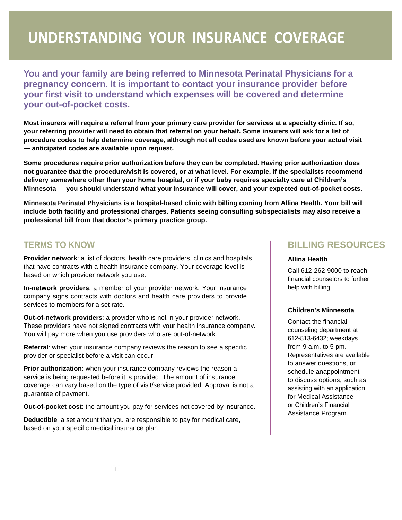## UNDERSTANDING YOUR INSURANCE COVERAGE

**You and your family are being referred to Minnesota Perinatal Physicians for a pregnancy concern. It is important to contact your insurance provider before your first visit to understand which expenses will be covered and determine your out-of-pocket costs.**

**Most insurers will require a referral from your primary care provider for services at a specialty clinic. If so, your referring provider will need to obtain that referral on your behalf. Some insurers will ask for a list of procedure codes to help determine coverage, although not all codes used are known before your actual visit — anticipated codes are available upon request.**

**Some procedures require prior authorization before they can be completed. Having prior authorization does not guarantee that the procedure/visit is covered, or at what level. For example, if the specialists recommend delivery somewhere other than your home hospital, or if your baby requires specialty care at Children's Minnesota — you should understand what your insurance will cover, and your expected out-of-pocket costs.**

**Minnesota Perinatal Physicians is a hospital-based clinic with billing coming from Allina Health. Your bill will include both facility and professional charges. Patients seeing consulting subspecialists may also receive a professional bill from that doctor's primary practice group.**

### **TERMS TO KNOW**

**Provider network**: a list of doctors, health care providers, clinics and hospitals that have contracts with a health insurance company. Your coverage level is based on which provider network you use.

**In-network providers**: a member of your provider network. Your insurance company signs contracts with doctors and health care providers to provide services to members for a set rate.

**Out-of-network providers**: a provider who is not in your provider network. These providers have not signed contracts with your health insurance company. You will pay more when you use providers who are out-of-network.

**Referral**: when your insurance company reviews the reason to see a specific provider or specialist before a visit can occur.

**Prior authorization**: when your insurance company reviews the reason a service is being requested before it is provided. The amount of insurance coverage can vary based on the type of visit/service provided. Approval is not a guarantee of payment.

**Out-of-pocket cost**: the amount you pay for services not covered by insurance.

**Deductible**: a set amount that you are responsible to pay for medical care, based on your specific medical insurance plan.

## **BILLING RESOURCES**

#### **Allina Health**

Call 612-262-9000 to reach financial counselors to further help with billing.

#### **Children's Minnesota**

Contact the financial counseling department at 612-813-6432; weekdays from 9 a.m. to 5 pm. Representatives are available to answer questions, or schedule anappointment to discuss options, such as assisting with an application for Medical Assistance or Children's Financial Assistance Program.